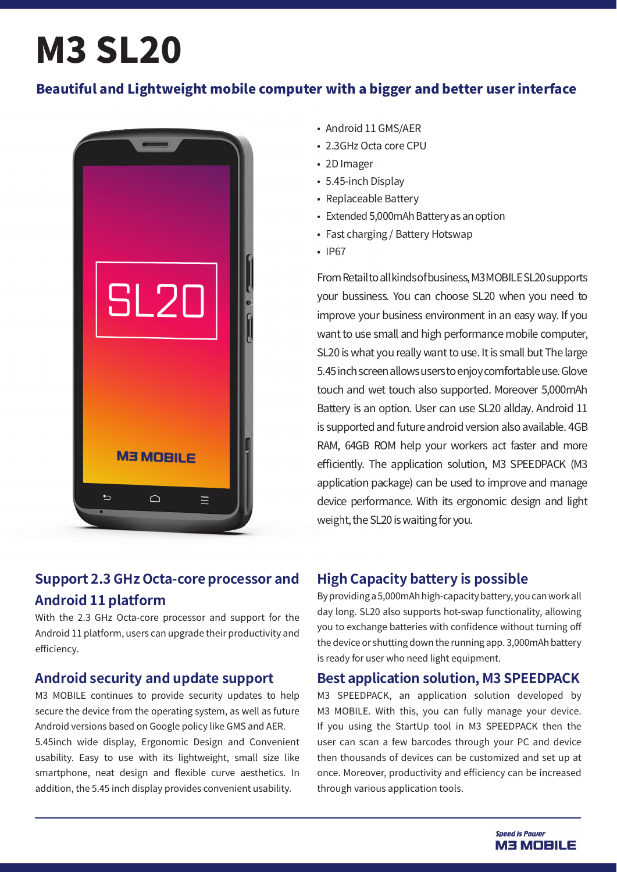# **M3 SL20**

## Beautiful and Lightweight mobile computer with a bigger and better user interface



## **Support 2.3 GHz Octa-core processor and Android 11 platform**

With the 2.3 GHz Octa-core processor and support for the Android 11 platform, users can upgrade their productivity and efficiency.

## **Android security and update support**

M3 MOBILE continues to provide security updates to help secure the device from the operating system, as well as future Android versions based on Google policy like GMS and AER. 5.45inch wide display, Ergonomic Design and Convenient usability. Easy to use with its lightweight, small size like smartphone, neat design and flexible curve aesthetics. In addition, the 5.45 inch display provides convenient usability.

- Android 11 GMS/AER
- 2.3GHz Octa core CPU
- 2D Imager
- 5.45-inch Display
- Replaceable Battery
- Extended 5,000mAh Battery as an option
- Fast charging / Battery Hotswap
- $\cdot$  IP67

From Retail to all kinds of business, M3 MOBILE SL20 supports your bussiness. You can choose SL20 when you need to improve your business environment in an easy way. If you want to use small and high performance mobile computer, SL20 is what you really want to use. It is small but The large 5.45 inch screen allows users to enjoy comfortable use. Glove touch and wet touch also supported. Moreover 5,000mAh Battery is an option. User can use SL20 allday. Android 11 is supported and future android version also available. 4GB RAM, 64GB ROM help your workers act faster and more efficiently. The application solution, M3 SPEEDPACK (M3 application package) can be used to improve and manage device performance. With its ergonomic design and light weight, the SL20 is waiting for you.

## **High Capacity battery is possible**

By providing a 5,000mAh high-capacity battery, you can work all day long. SL20 also supports hot-swap functionality, allowing you to exchange batteries with confidence without turning off the device or shutting down the running app. 3,000mAh battery is ready for user who need light equipment.

### **Best application solution, M3 SPEEDPACK**

M3 SPEEDPACK, an application solution developed by M3 MOBILE. With this, you can fully manage your device. If you using the StartUp tool in M3 SPEEDPACK then the user can scan a few barcodes through your PC and device then thousands of devices can be customized and set up at once. Moreover, productivity and efficiency can be increased through various application tools.

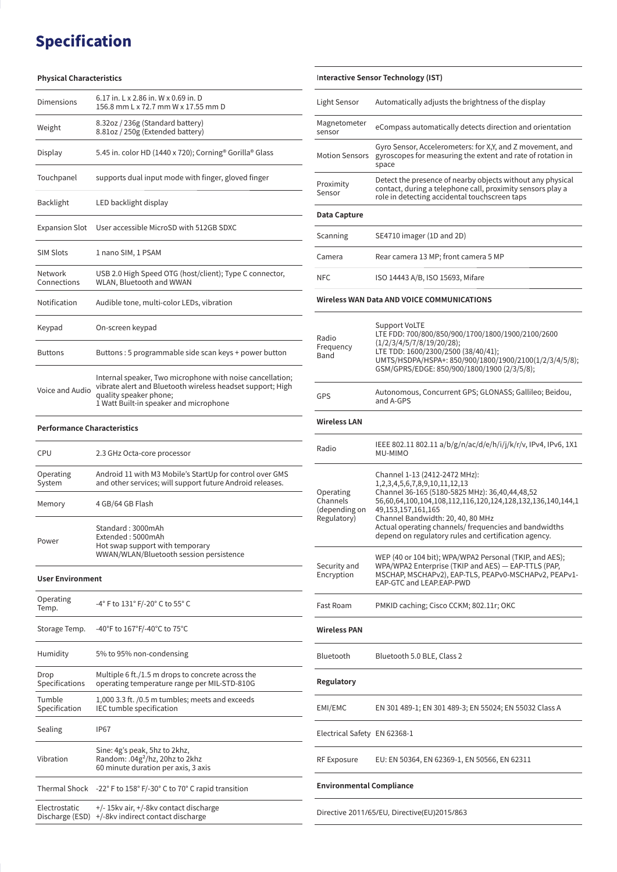## **Specification**

#### **Physical Characteristics**

| Dimensions                         | 6.17 in. L x 2.86 in. W x 0.69 in. D<br>156.8 mm L x 72.7 mm W x 17.55 mm D                                                                                                                 |  |
|------------------------------------|---------------------------------------------------------------------------------------------------------------------------------------------------------------------------------------------|--|
| Weight                             | 8.32oz / 236g (Standard battery)<br>8.81oz / 250g (Extended battery)                                                                                                                        |  |
| Display                            | 5.45 in. color HD (1440 x 720); Corning® Gorilla® Glass                                                                                                                                     |  |
| Touchpanel                         | supports dual input mode with finger, gloved finger                                                                                                                                         |  |
| Backlight                          | LED backlight display                                                                                                                                                                       |  |
| <b>Expansion Slot</b>              | User accessible MicroSD with 512GB SDXC                                                                                                                                                     |  |
| <b>SIM Slots</b>                   | 1 nano SIM, 1 PSAM                                                                                                                                                                          |  |
| Network<br>Connections             | USB 2.0 High Speed OTG (host/client); Type C connector,<br>WLAN, Bluetooth and WWAN                                                                                                         |  |
| Notification                       | Audible tone, multi-color LEDs, vibration                                                                                                                                                   |  |
| Keypad                             | On-screen keypad                                                                                                                                                                            |  |
| <b>Buttons</b>                     | Buttons: 5 programmable side scan keys + power button                                                                                                                                       |  |
| Voice and Audio                    | Internal speaker, Two microphone with noise cancellation;<br>vibrate alert and Bluetooth wireless headset support; High<br>quality speaker phone;<br>1 Watt Built-in speaker and microphone |  |
| <b>Performance Characteristics</b> |                                                                                                                                                                                             |  |
| CPU                                | 2.3 GHz Octa-core processor                                                                                                                                                                 |  |
| Operating<br>System                | Android 11 with M3 Mobile's StartUp for control over GMS<br>and other services; will support future Android releases.                                                                       |  |
| Memory                             | 4 GB/64 GB Flash                                                                                                                                                                            |  |
| Power                              | Standard: 3000mAh<br>Extended: 5000mAh<br>Hot swap support with temporary<br>WWAN/WLAN/Bluetooth session persistence                                                                        |  |
| <b>User Environment</b>            |                                                                                                                                                                                             |  |
| Operating<br>Temp.                 | -4° F to 131° F/-20° C to 55° C                                                                                                                                                             |  |
| Storage Temp.                      | -40°F to 167°F/-40°C to 75°C                                                                                                                                                                |  |
| Humidity                           | 5% to 95% non-condensing                                                                                                                                                                    |  |
| Drop<br>Specifications             | Multiple 6 ft./1.5 m drops to concrete across the<br>operating temperature range per MIL-STD-810G                                                                                           |  |
| Tumble<br>Specification            | 1,000 3.3 ft. /0.5 m tumbles; meets and exceeds<br>IEC tumble specification                                                                                                                 |  |
| Sealing                            | <b>IP67</b>                                                                                                                                                                                 |  |
| Vibration                          | Sine: 4g's peak, 5hz to 2khz,<br>Random: .04 $g^2$ /hz, 20hz to 2khz<br>60 minute duration per axis, 3 axis                                                                                 |  |
|                                    | Thermal Shock $-22^{\circ}$ F to 158 $^{\circ}$ F/-30 $^{\circ}$ C to 70 $^{\circ}$ C rapid transition                                                                                      |  |

| Electrostatic | +/-15kv air, +/-8kv contact discharge<br>Discharge (ESD) +/-8kv indirect contact discharge |
|---------------|--------------------------------------------------------------------------------------------|

| Interactive Sensor Technology (IST)                   |                                                                                                                                                                                                                                                                                                                                                                |
|-------------------------------------------------------|----------------------------------------------------------------------------------------------------------------------------------------------------------------------------------------------------------------------------------------------------------------------------------------------------------------------------------------------------------------|
|                                                       |                                                                                                                                                                                                                                                                                                                                                                |
| Light Sensor                                          | Automatically adjusts the brightness of the display                                                                                                                                                                                                                                                                                                            |
| Magnetometer<br>sensor                                | eCompass automatically detects direction and orientation                                                                                                                                                                                                                                                                                                       |
| <b>Motion Sensors</b>                                 | Gyro Sensor, Accelerometers: for X,Y, and Z movement, and<br>gyroscopes for measuring the extent and rate of rotation in<br>space                                                                                                                                                                                                                              |
| Proximity<br>Sensor                                   | Detect the presence of nearby objects without any physical<br>contact, during a telephone call, proximity sensors play a<br>role in detecting accidental touchscreen taps                                                                                                                                                                                      |
| Data Capture                                          |                                                                                                                                                                                                                                                                                                                                                                |
| Scanning                                              | SE4710 imager (1D and 2D)                                                                                                                                                                                                                                                                                                                                      |
| Camera                                                | Rear camera 13 MP; front camera 5 MP                                                                                                                                                                                                                                                                                                                           |
| <b>NFC</b>                                            | ISO 14443 A/B, ISO 15693, Mifare                                                                                                                                                                                                                                                                                                                               |
|                                                       | Wireless WAN Data AND VOICE COMMUNICATIONS                                                                                                                                                                                                                                                                                                                     |
| Radio<br>Frequency<br>Band                            | Support VoLTE<br>LTE FDD: 700/800/850/900/1700/1800/1900/2100/2600<br>(1/2/3/4/5/7/8/19/20/28);<br>LTE TDD: 1600/2300/2500 (38/40/41);<br>UMTS/HSDPA/HSPA+: 850/900/1800/1900/2100(1/2/3/4/5/8);<br>GSM/GPRS/EDGE: 850/900/1800/1900 (2/3/5/8);                                                                                                                |
| GPS                                                   | Autonomous, Concurrent GPS; GLONASS; Gallileo; Beidou,<br>and A-GPS                                                                                                                                                                                                                                                                                            |
| <b>Wireless LAN</b>                                   |                                                                                                                                                                                                                                                                                                                                                                |
| Radio                                                 | IEEE 802.11 802.11 a/b/g/n/ac/d/e/h/i/j/k/r/v, IPv4, IPv6, 1X1<br>MU-MIMO                                                                                                                                                                                                                                                                                      |
| Operating<br>Channels<br>(depending on<br>Regulatory) | Channel 1-13 (2412-2472 MHz):<br>1,2,3,4,5,6,7,8,9,10,11,12,13<br>Channel 36-165 (5180-5825 MHz): 36,40,44,48,52<br>56,60,64,100,104,108,112,116,120,124,128,132,136,140,144,1<br>49, 153, 157, 161, 165<br>Channel Bandwidth: 20, 40, 80 MHz<br>Actual operating channels/ frequencies and bandwidths<br>depend on regulatory rules and certification agency. |
| Security and<br>Encryption                            | WEP (40 or 104 bit); WPA/WPA2 Personal (TKIP, and AES);<br>WPA/WPA2 Enterprise (TKIP and AES) - EAP-TTLS (PAP,<br>MSCHAP, MSCHAPv2), EAP-TLS, PEAPv0-MSCHAPv2, PEAPv1-<br>EAP-GTC and LEAP.EAP-PWD                                                                                                                                                             |
| Fast Roam                                             | PMKID caching; Cisco CCKM; 802.11r; OKC                                                                                                                                                                                                                                                                                                                        |
| <b>Wireless PAN</b>                                   |                                                                                                                                                                                                                                                                                                                                                                |
| <b>Bluetooth</b>                                      | Bluetooth 5.0 BLE, Class 2                                                                                                                                                                                                                                                                                                                                     |
| Regulatory                                            |                                                                                                                                                                                                                                                                                                                                                                |
| EMI/EMC                                               | EN 301 489-1; EN 301 489-3; EN 55024; EN 55032 Class A                                                                                                                                                                                                                                                                                                         |
|                                                       |                                                                                                                                                                                                                                                                                                                                                                |
|                                                       |                                                                                                                                                                                                                                                                                                                                                                |
| Electrical Safety EN 62368-1<br>RF Exposure           | EU: EN 50364, EN 62369-1, EN 50566, EN 62311                                                                                                                                                                                                                                                                                                                   |